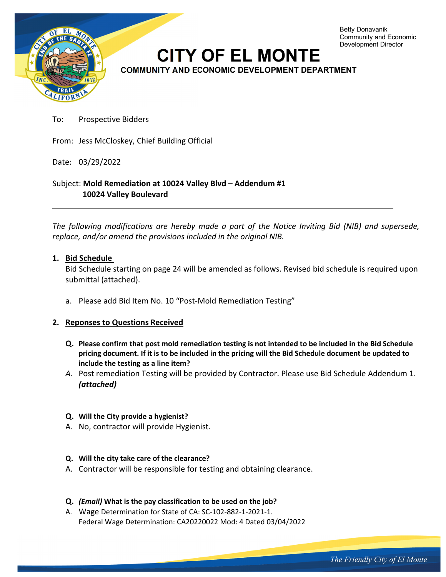

To: Prospective Bidders

From: Jess McCloskey, Chief Building Official

Date: 03/29/2022

Subject: **Mold Remediation at 10024 Valley Blvd – Addendum #1 10024 Valley Boulevard** 

*The following modifications are hereby made a part of the Notice Inviting Bid (NIB) and supersede, replace, and/or amend the provisions included in the original NIB.* 

### **1. Bid Schedule**

Bid Schedule starting on page 24 will be amended as follows. Revised bid schedule is required upon submittal (attached).

a. Please add Bid Item No. 10 "Post-Mold Remediation Testing"

### **2. Reponses to Questions Received**

- **Q. Please confirm that post mold remediation testing is not intended to be included in the Bid Schedule pricing document. If it is to be included in the pricing will the Bid Schedule document be updated to include the testing as a line item?**
- *A.* Post remediation Testing will be provided by Contractor. Please use Bid Schedule Addendum 1. *(attached)*

### **Q. Will the City provide a hygienist?**

A. No, contractor will provide Hygienist.

### **Q. Will the city take care of the clearance?**

- A. Contractor will be responsible for testing and obtaining clearance.
- **Q.** *(Email)* **What is the pay classification to be used on the job?**
- A. Wage Determination for State of CA: SC-102-882-1-2021-1. Federal Wage Determination: CA20220022 Mod: 4 Dated 03/04/2022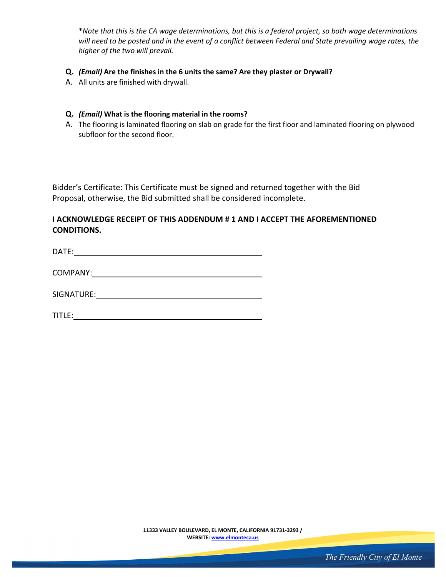\**Note that this is the CA wage determinations, but this is a federal project, so both wage determinations will need to be posted and in the event of a conflict between Federal and State prevailing wage rates, the higher of the two will prevail.*

- **Q.** *(Email)* **Are the finishes in the 6 units the same? Are they plaster or Drywall?**
- A. All units are finished with drywall.

#### **Q.** *(Email)* **What is the flooring material in the rooms?**

A. The flooring is laminated flooring on slab on grade for the first floor and laminated flooring on plywood subfloor for the second floor.

Bidder's Certificate: This Certificate must be signed and returned together with the Bid Proposal, otherwise, the Bid submitted shall be considered incomplete.

# **I ACKNOWLEDGE RECEIPT OF THIS ADDENDUM # 1 AND I ACCEPT THE AFOREMENTIONED CONDITIONS.**

DATE:

COMPANY:

SIGNATURE:

TITLE:

**11333 VALLEY BOULEVARD, EL MONTE, CALIFORNIA 91731-3293 / WEBSITE: www.elmonteca.us**